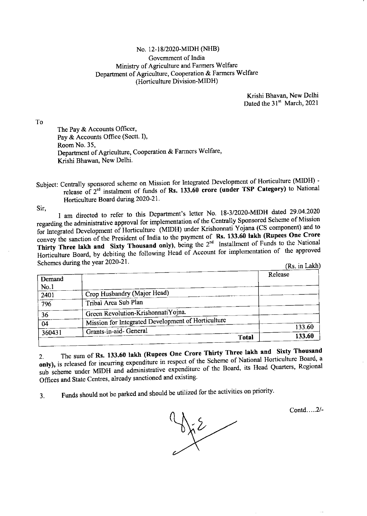## No. 12-18/2020-MIDH (NHB) Government of India Ministry of Agriculture and Farmers Welfare Department of Agriculture, Cooperation & Farmers Welfare (Horticulture Division-MIDH)

Krishi Bhavan, New Delhi Dated the 31<sup>st</sup> March, 2021

To

The Pay & Accounts Officer, Pay & Accounts Office (Sectt. I), Room No. 35. Department of Agriculture, Cooperation & Farmers Welfare, Krishi Bhawan, New Delhi.

Subject: Centrally sponsored scheme on Mission for Integrated Development of Horticulture (MIDH) release of 2<sup>rd</sup> instalment of funds of Rs. 133.60 crore (under TSP Category) to National Horticulture Board during 2020-21.

Sir,

I am directed to refer to this Department's letter No. 18-3/2020-MIDH dated 29.04.2020 regarding the administrative approval for implementation of the Centrally Sponsored Scheme of Mission for Integrated Development of Horticulture (MIDH) under Krishonnati Yojana (CS component) and to convey the sanction of the President of India to the payment of Rs. 133.60 lakh (Rupees One Crore Thirty Three lakh and Sixty Thousand only), being the 2<sup>nd</sup> Installment of Funds to the National Horticulture Board, by debiting the following Head of Account for implementation of the approved Schemes during the year 2020-21.

(Rs in Lakh)

| Demand            |                                                    | Release |  |
|-------------------|----------------------------------------------------|---------|--|
| No.1              |                                                    |         |  |
| $\overline{2401}$ | Crop Husbandry (Major Head)                        |         |  |
| 796               | Tribal Arca Sub Plan                               |         |  |
| 36                | Green Revolution-KrishonnatiYojna.                 |         |  |
| 04                | Mission for Integrated Development of Horticulture |         |  |
|                   | Grants-in-aid- General                             | 133.60  |  |
| 360431            | <b>Total</b>                                       | 133.60  |  |

The sum of Rs. 133.60 lakh (Rupees One Crore Thirty Three lakh and Sixty Thousand  $2.$ only), is released for incurring expenditure in respect of the Scheme of National Horticulture Board, a sub scheme under MIDH and administrative expenditure of the Board, its Head Quarters, Regional Offices and State Centres, already sanctioned and existing.

Funds should not be parked and should be utilized for the activities on priority.  $3<sub>1</sub>$ 

 $-\xi\zeta$ 

Contd.....2/-